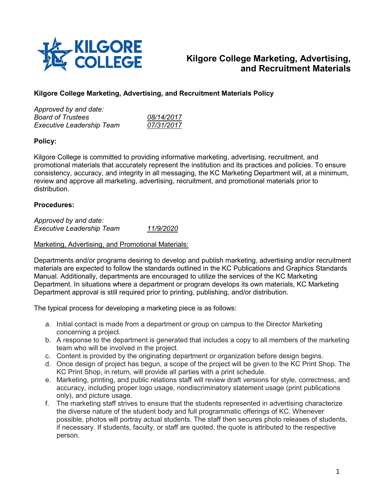

# **Kilgore College Marketing, Advertising, and Recruitment Materials**

## **Kilgore College Marketing, Advertising, and Recruitment Materials Policy**

| Approved by and date:            |            |
|----------------------------------|------------|
| <b>Board of Trustees</b>         | 08/14/2017 |
| <b>Executive Leadership Team</b> | 07/31/2017 |
|                                  |            |

## **Policy:**

Kilgore College is committed to providing informative marketing, advertising, recruitment, and promotional materials that accurately represent the institution and its practices and policies. To ensure consistency, accuracy, and integrity in all messaging, the KC Marketing Department will, at a minimum, review and approve all marketing, advertising, recruitment, and promotional materials prior to distribution.

#### **Procedures:**

*Approved by and date: Executive Leadership Team 11/9/2020*

#### Marketing, Advertising, and Promotional Materials:

Departments and/or programs desiring to develop and publish marketing, advertising and/or recruitment materials are expected to follow the standards outlined in the KC Publications and Graphics Standards Manual. Additionally, departments are encouraged to utilize the services of the KC Marketing Department. In situations where a department or program develops its own materials, KC Marketing Department approval is still required prior to printing, publishing, and/or distribution.

The typical process for developing a marketing piece is as follows:

- a. Initial contact is made from a department or group on campus to the Director Marketing concerning a project.
- b. A response to the department is generated that includes a copy to all members of the marketing team who will be involved in the project.
- c. Content is provided by the originating department or organization before design begins.
- d. Once design of project has begun, a scope of the project will be given to the KC Print Shop. The KC Print Shop, in return, will provide all parties with a print schedule.
- e. Marketing, printing, and public relations staff will review draft versions for style, correctness, and accuracy, including proper logo usage, nondiscriminatory statement usage (print publications only), and picture usage.
- f. The marketing staff strives to ensure that the students represented in advertising characterize the diverse nature of the student body and full programmatic offerings of KC. Whenever possible, photos will portray actual students. The staff then secures photo releases of students, if necessary. If students, faculty, or staff are quoted, the quote is attributed to the respective person.